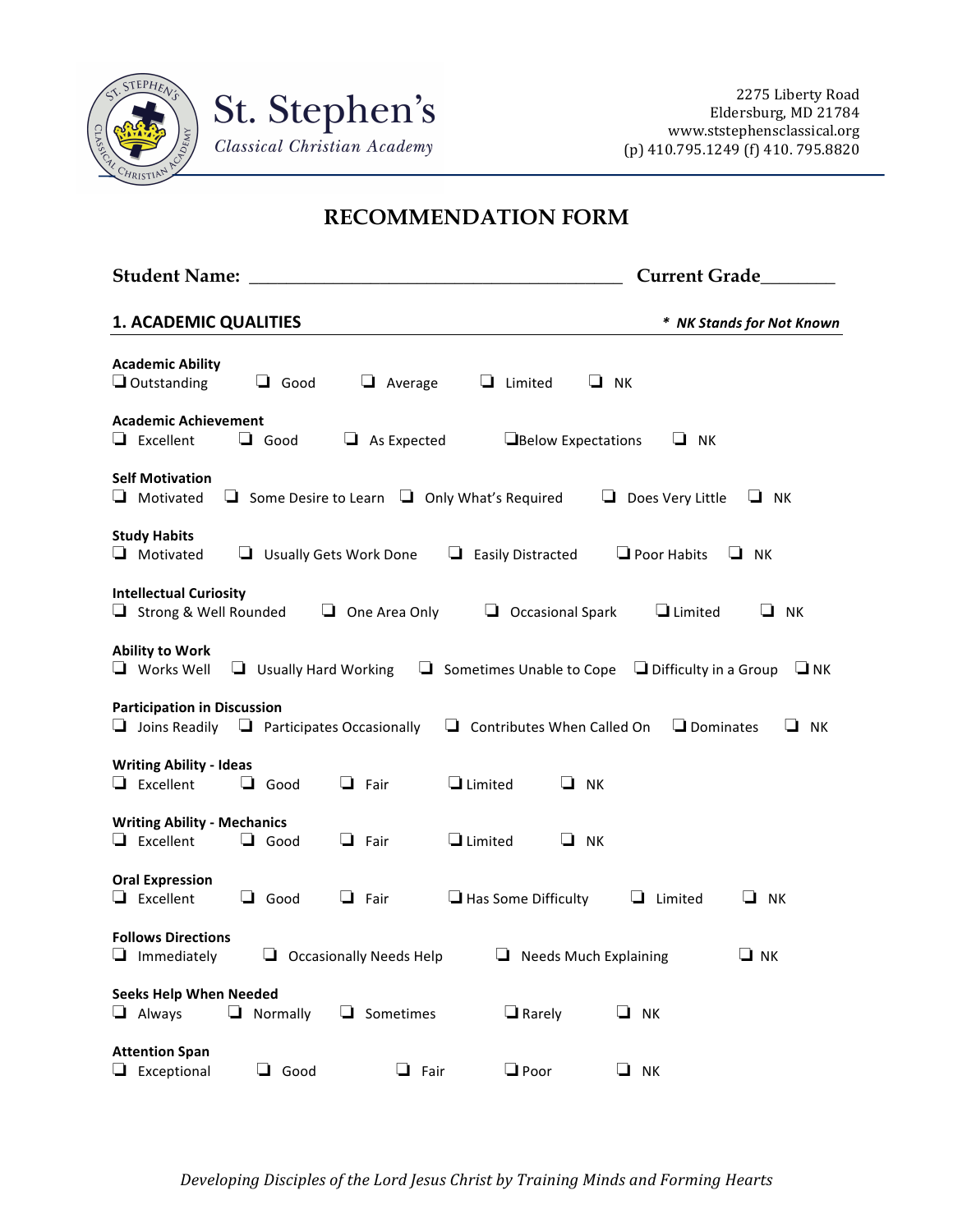

## **RECOMMENDATION FORM**

| Student Name: Name: Name and Student Name and Student Name and Student Research Andrew Student Andrew Student |                             |                      |                                                             |                                                                        | <b>Current Grade</b>      |
|---------------------------------------------------------------------------------------------------------------|-----------------------------|----------------------|-------------------------------------------------------------|------------------------------------------------------------------------|---------------------------|
| <b>1. ACADEMIC QUALITIES</b>                                                                                  |                             |                      |                                                             |                                                                        | * NK Stands for Not Known |
| <b>Academic Ability</b><br>$\Box$ Outstanding                                                                 | $\Box$ Good                 | $\Box$ Average       | $\Box$ Limited                                              | $\Box$ NK                                                              |                           |
| <b>Academic Achievement</b><br>$\Box$ Excellent                                                               | $\Box$ Good                 | $\Box$ As Expected   | Below Expectations                                          | $\Box$ NK                                                              |                           |
| <b>Self Motivation</b><br>$\Box$ Motivated                                                                    |                             |                      | $\Box$ Some Desire to Learn $\Box$ Only What's Required     | $\Box$ Does Very Little                                                | $\Box$ NK                 |
| <b>Study Habits</b><br>Motivated                                                                              |                             |                      | $\Box$ Usually Gets Work Done $\Box$ Easily Distracted      | $\Box$ Poor Habits                                                     | $\Box$ NK                 |
| <b>Intellectual Curiosity</b><br>$\Box$ Strong & Well Rounded                                                 |                             | $\Box$ One Area Only | $\Box$ Occasional Spark                                     | $\Box$ Limited                                                         | $\Box$ NK                 |
| <b>Ability to Work</b><br>$\Box$ Works Well                                                                   | $\Box$ Usually Hard Working |                      |                                                             | <b>Sometimes Unable to Cope</b> $\Box$ Difficulty in a Group $\Box$ NK |                           |
| <b>Participation in Discussion</b><br>$\Box$ Joins Readily $\Box$ Participates Occasionally                   |                             |                      |                                                             | $\Box$ Contributes When Called On $\Box$ Dominates                     | $\Box$ NK                 |
| <b>Writing Ability - Ideas</b><br>$\Box$ Excellent                                                            | $\Box$ Good                 | $\Box$ Fair          | $\Box$ Limited                                              | $\Box$ NK                                                              |                           |
| <b>Writing Ability - Mechanics</b><br>$\Box$ Excellent                                                        | $\Box$ Good                 | $\Box$ Fair          | $\Box$ Limited                                              | $\Box$ NK                                                              |                           |
| <b>Oral Expression</b><br>$\Box$ Excellent                                                                    | $\Box$ Good                 | $\Box$ Fair          | $\Box$ Has Some Difficulty                                  | $\Box$ Limited                                                         | NK<br>u.                  |
| <b>Follows Directions</b><br>$\Box$ Immediately                                                               |                             |                      | $\Box$ Occasionally Needs Help $\Box$ Needs Much Explaining |                                                                        | $\Box$ NK                 |
| <b>Seeks Help When Needed</b><br>$\Box$ Always                                                                | $\Box$ Normally             | $\Box$ Sometimes     | $\Box$ Rarely                                               | $\Box$ NK                                                              |                           |
| <b>Attention Span</b><br>$\Box$ Exceptional                                                                   | $\Box$ Good                 | $\Box$ Fair          | $\Box$ Poor                                                 | $\Box$ NK                                                              |                           |